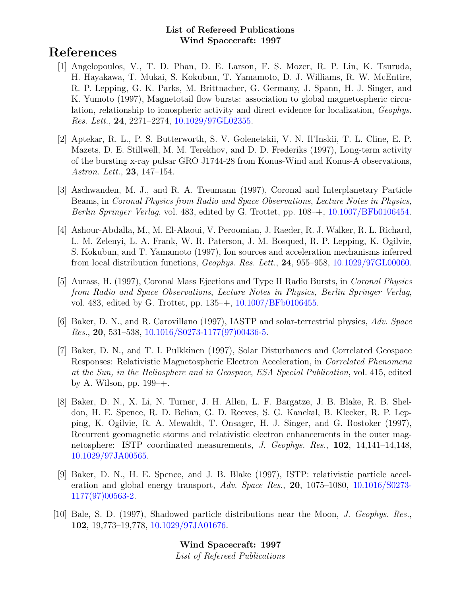# References

- [1] Angelopoulos, V., T. D. Phan, D. E. Larson, F. S. Mozer, R. P. Lin, K. Tsuruda, H. Hayakawa, T. Mukai, S. Kokubun, T. Yamamoto, D. J. Williams, R. W. McEntire, R. P. Lepping, G. K. Parks, M. Brittnacher, G. Germany, J. Spann, H. J. Singer, and K. Yumoto (1997), Magnetotail flow bursts: association to global magnetospheric circulation, relationship to ionospheric activity and direct evidence for localization, Geophys. Res. Lett., 24, 2271–2274, [10.1029/97GL02355.](http://dx.doi.org/10.1029/97GL02355)
- [2] Aptekar, R. L., P. S. Butterworth, S. V. Golenetskii, V. N. Il'Inskii, T. L. Cline, E. P. Mazets, D. E. Stillwell, M. M. Terekhov, and D. D. Frederiks (1997), Long-term activity of the bursting x-ray pulsar GRO J1744-28 from Konus-Wind and Konus-A observations, Astron. Lett., 23, 147–154.
- [3] Aschwanden, M. J., and R. A. Treumann (1997), Coronal and Interplanetary Particle Beams, in Coronal Physics from Radio and Space Observations, Lecture Notes in Physics, Berlin Springer Verlag, vol. 483, edited by G. Trottet, pp. 108–+, [10.1007/BFb0106454.](http://dx.doi.org/10.1007/BFb0106454)
- [4] Ashour-Abdalla, M., M. El-Alaoui, V. Peroomian, J. Raeder, R. J. Walker, R. L. Richard, L. M. Zelenyi, L. A. Frank, W. R. Paterson, J. M. Bosqued, R. P. Lepping, K. Ogilvie, S. Kokubun, and T. Yamamoto (1997), Ion sources and acceleration mechanisms inferred from local distribution functions, Geophys. Res. Lett., 24, 955–958, [10.1029/97GL00060.](http://dx.doi.org/10.1029/97GL00060)
- [5] Aurass, H. (1997), Coronal Mass Ejections and Type II Radio Bursts, in Coronal Physics from Radio and Space Observations, Lecture Notes in Physics, Berlin Springer Verlag, vol. 483, edited by G. Trottet, pp. 135–+, [10.1007/BFb0106455.](http://dx.doi.org/10.1007/BFb0106455)
- [6] Baker, D. N., and R. Carovillano (1997), IASTP and solar-terrestrial physics, Adv. Space Res., 20, 531–538, [10.1016/S0273-1177\(97\)00436-5.](http://dx.doi.org/10.1016/S0273-1177(97)00436-5)
- [7] Baker, D. N., and T. I. Pulkkinen (1997), Solar Disturbances and Correlated Geospace Responses: Relativistic Magnetospheric Electron Acceleration, in Correlated Phenomena at the Sun, in the Heliosphere and in Geospace, ESA Special Publication, vol. 415, edited by A. Wilson, pp.  $199 - +$ .
- [8] Baker, D. N., X. Li, N. Turner, J. H. Allen, L. F. Bargatze, J. B. Blake, R. B. Sheldon, H. E. Spence, R. D. Belian, G. D. Reeves, S. G. Kanekal, B. Klecker, R. P. Lepping, K. Ogilvie, R. A. Mewaldt, T. Onsager, H. J. Singer, and G. Rostoker (1997), Recurrent geomagnetic storms and relativistic electron enhancements in the outer magnetosphere: ISTP coordinated measurements, J. Geophys. Res., 102, 14,141–14,148, [10.1029/97JA00565.](http://dx.doi.org/10.1029/97JA00565)
- [9] Baker, D. N., H. E. Spence, and J. B. Blake (1997), ISTP: relativistic particle acceleration and global energy transport,  $Adv. Space Res., 20, 1075-1080, 10.1016/S0273 Adv. Space Res., 20, 1075-1080, 10.1016/S0273-$ [1177\(97\)00563-2.](http://dx.doi.org/10.1016/S0273-1177(97)00563-2)
- [10] Bale, S. D. (1997), Shadowed particle distributions near the Moon, J. Geophys. Res., 102, 19,773–19,778, [10.1029/97JA01676.](http://dx.doi.org/10.1029/97JA01676)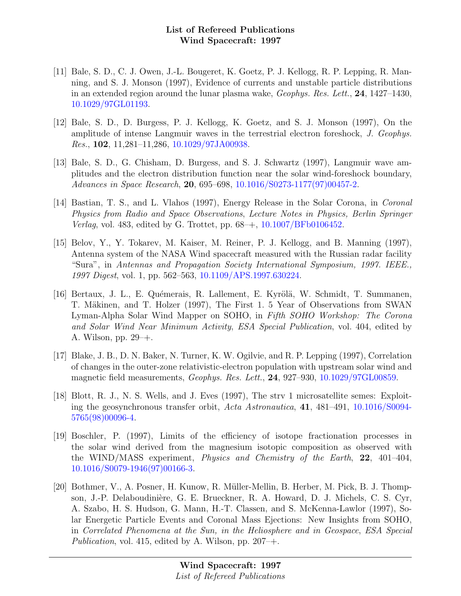- [11] Bale, S. D., C. J. Owen, J.-L. Bougeret, K. Goetz, P. J. Kellogg, R. P. Lepping, R. Manning, and S. J. Monson (1997), Evidence of currents and unstable particle distributions in an extended region around the lunar plasma wake, Geophys. Res. Lett., 24, 1427–1430, [10.1029/97GL01193.](http://dx.doi.org/10.1029/97GL01193)
- [12] Bale, S. D., D. Burgess, P. J. Kellogg, K. Goetz, and S. J. Monson (1997), On the amplitude of intense Langmuir waves in the terrestrial electron foreshock, J. Geophys. Res., 102, 11,281–11,286, [10.1029/97JA00938.](http://dx.doi.org/10.1029/97JA00938)
- [13] Bale, S. D., G. Chisham, D. Burgess, and S. J. Schwartz (1997), Langmuir wave amplitudes and the electron distribution function near the solar wind-foreshock boundary, Advances in Space Research, 20, 695–698, [10.1016/S0273-1177\(97\)00457-2.](http://dx.doi.org/10.1016/S0273-1177(97)00457-2)
- [14] Bastian, T. S., and L. Vlahos (1997), Energy Release in the Solar Corona, in Coronal Physics from Radio and Space Observations, Lecture Notes in Physics, Berlin Springer Verlag, vol. 483, edited by G. Trottet, pp. 68–+, [10.1007/BFb0106452.](http://dx.doi.org/10.1007/BFb0106452)
- [15] Belov, Y., Y. Tokarev, M. Kaiser, M. Reiner, P. J. Kellogg, and B. Manning (1997), Antenna system of the NASA Wind spacecraft measured with the Russian radar facility "Sura", in Antennas and Propagation Society International Symposium, 1997. IEEE., 1997 Digest, vol. 1, pp. 562–563, [10.1109/APS.1997.630224.](http://dx.doi.org/10.1109/APS.1997.630224)
- [16] Bertaux, J. L., E. Quémerais, R. Lallement, E. Kyrölä, W. Schmidt, T. Summanen, T. Mäkinen, and T. Holzer (1997), The First 1. 5 Year of Observations from SWAN Lyman-Alpha Solar Wind Mapper on SOHO, in Fifth SOHO Workshop: The Corona and Solar Wind Near Minimum Activity, ESA Special Publication, vol. 404, edited by A. Wilson, pp. 29–+.
- [17] Blake, J. B., D. N. Baker, N. Turner, K. W. Ogilvie, and R. P. Lepping (1997), Correlation of changes in the outer-zone relativistic-electron population with upstream solar wind and magnetic field measurements, Geophys. Res. Lett., 24, 927–930, [10.1029/97GL00859.](http://dx.doi.org/10.1029/97GL00859)
- [18] Blott, R. J., N. S. Wells, and J. Eves (1997), The strv 1 microsatellite semes: Exploiting the geosynchronous transfer orbit, Acta Astronautica, 41, 481–491, [10.1016/S0094-](http://dx.doi.org/10.1016/S0094-5765(98)00096-4) [5765\(98\)00096-4.](http://dx.doi.org/10.1016/S0094-5765(98)00096-4)
- [19] Boschler, P. (1997), Limits of the efficiency of isotope fractionation processes in the solar wind derived from the magnesium isotopic composition as observed with the WIND/MASS experiment, Physics and Chemistry of the Earth, 22, 401–404, [10.1016/S0079-1946\(97\)00166-3.](http://dx.doi.org/10.1016/S0079-1946(97)00166-3)
- [20] Bothmer, V., A. Posner, H. Kunow, R. Müller-Mellin, B. Herber, M. Pick, B. J. Thompson, J.-P. Delaboudinière, G. E. Brueckner, R. A. Howard, D. J. Michels, C. S. Cyr, A. Szabo, H. S. Hudson, G. Mann, H.-T. Classen, and S. McKenna-Lawlor (1997), Solar Energetic Particle Events and Coronal Mass Ejections: New Insights from SOHO, in Correlated Phenomena at the Sun, in the Heliosphere and in Geospace, ESA Special Publication, vol. 415, edited by A. Wilson, pp.  $207 - +$ .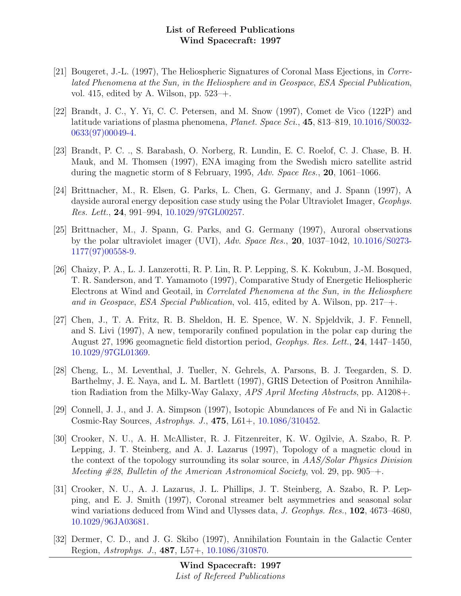- [21] Bougeret, J.-L. (1997), The Heliospheric Signatures of Coronal Mass Ejections, in Correlated Phenomena at the Sun, in the Heliosphere and in Geospace, ESA Special Publication, vol. 415, edited by A. Wilson, pp.  $523-+$ .
- [22] Brandt, J. C., Y. Yi, C. C. Petersen, and M. Snow (1997), Comet de Vico (122P) and latitude variations of plasma phenomena, Planet. Space Sci., 45, 813–819, [10.1016/S0032-](http://dx.doi.org/10.1016/S0032-0633(97)00049-4) [0633\(97\)00049-4.](http://dx.doi.org/10.1016/S0032-0633(97)00049-4)
- [23] Brandt, P. C. ., S. Barabash, O. Norberg, R. Lundin, E. C. Roelof, C. J. Chase, B. H. Mauk, and M. Thomsen (1997), ENA imaging from the Swedish micro satellite astrid during the magnetic storm of 8 February, 1995, Adv. Space Res., 20, 1061–1066.
- [24] Brittnacher, M., R. Elsen, G. Parks, L. Chen, G. Germany, and J. Spann (1997), A dayside auroral energy deposition case study using the Polar Ultraviolet Imager, Geophys. Res. Lett., 24, 991–994, [10.1029/97GL00257.](http://dx.doi.org/10.1029/97GL00257)
- [25] Brittnacher, M., J. Spann, G. Parks, and G. Germany (1997), Auroral observations by the polar ultraviolet imager (UVI), Adv. Space Res., 20, 1037–1042, [10.1016/S0273-](http://dx.doi.org/10.1016/S0273-1177(97)00558-9) [1177\(97\)00558-9.](http://dx.doi.org/10.1016/S0273-1177(97)00558-9)
- [26] Chaizy, P. A., L. J. Lanzerotti, R. P. Lin, R. P. Lepping, S. K. Kokubun, J.-M. Bosqued, T. R. Sanderson, and T. Yamamoto (1997), Comparative Study of Energetic Heliospheric Electrons at Wind and Geotail, in Correlated Phenomena at the Sun, in the Heliosphere and in Geospace, ESA Special Publication, vol. 415, edited by A. Wilson, pp. 217–+.
- [27] Chen, J., T. A. Fritz, R. B. Sheldon, H. E. Spence, W. N. Spjeldvik, J. F. Fennell, and S. Livi (1997), A new, temporarily confined population in the polar cap during the August 27, 1996 geomagnetic field distortion period, Geophys. Res. Lett., 24, 1447–1450, [10.1029/97GL01369.](http://dx.doi.org/10.1029/97GL01369)
- [28] Cheng, L., M. Leventhal, J. Tueller, N. Gehrels, A. Parsons, B. J. Teegarden, S. D. Barthelmy, J. E. Naya, and L. M. Bartlett (1997), GRIS Detection of Positron Annihilation Radiation from the Milky-Way Galaxy, APS April Meeting Abstracts, pp. A1208+.
- [29] Connell, J. J., and J. A. Simpson (1997), Isotopic Abundances of Fe and Ni in Galactic Cosmic-Ray Sources, Astrophys. J., 475, L61+, [10.1086/310452.](http://dx.doi.org/10.1086/310452)
- [30] Crooker, N. U., A. H. McAllister, R. J. Fitzenreiter, K. W. Ogilvie, A. Szabo, R. P. Lepping, J. T. Steinberg, and A. J. Lazarus (1997), Topology of a magnetic cloud in the context of the topology surrounding its solar source, in AAS/Solar Physics Division Meeting  $#28$ , Bulletin of the American Astronomical Society, vol. 29, pp. 905–+.
- [31] Crooker, N. U., A. J. Lazarus, J. L. Phillips, J. T. Steinberg, A. Szabo, R. P. Lepping, and E. J. Smith (1997), Coronal streamer belt asymmetries and seasonal solar wind variations deduced from Wind and Ulysses data, J. Geophys. Res., 102, 4673–4680, [10.1029/96JA03681.](http://dx.doi.org/10.1029/96JA03681)
- [32] Dermer, C. D., and J. G. Skibo (1997), Annihilation Fountain in the Galactic Center Region, Astrophys. J., 487, L57+, [10.1086/310870.](http://dx.doi.org/10.1086/310870)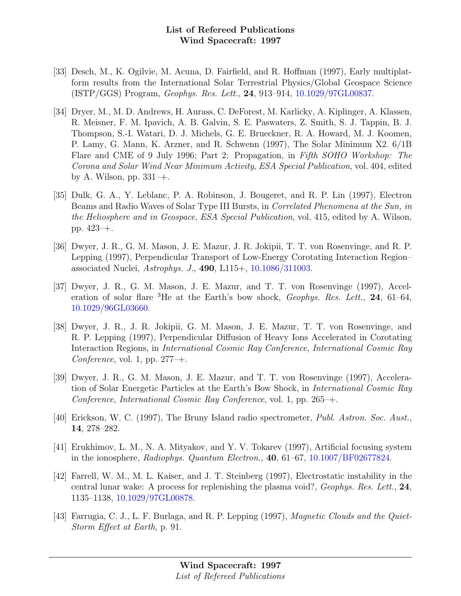- [33] Desch, M., K. Ogilvie, M. Acuna, D. Fairfield, and R. Hoffman (1997), Early multiplatform results from the International Solar Terrestrial Physics/Global Geospace Science (ISTP/GGS) Program, Geophys. Res. Lett., 24, 913–914, [10.1029/97GL00837.](http://dx.doi.org/10.1029/97GL00837)
- [34] Dryer, M., M. D. Andrews, H. Aurass, C. DeForest, M. Karlicky, A. Kiplinger, A. Klassen, R. Meisner, F. M. Ipavich, A. B. Galvin, S. E. Paswaters, Z. Smith, S. J. Tappin, B. J. Thompson, S.-I. Watari, D. J. Michels, G. E. Brueckner, R. A. Howard, M. J. Koomen, P. Lamy, G. Mann, K. Arzner, and R. Schwenn (1997), The Solar Minimum X2. 6/1B Flare and CME of 9 July 1996; Part 2: Propagation, in Fifth SOHO Workshop: The Corona and Solar Wind Near Minimum Activity, ESA Special Publication, vol. 404, edited by A. Wilson, pp. 331–+.
- [35] Dulk, G. A., Y. Leblanc, P. A. Robinson, J. Bougeret, and R. P. Lin (1997), Electron Beams and Radio Waves of Solar Type III Bursts, in Correlated Phenomena at the Sun, in the Heliosphere and in Geospace, ESA Special Publication, vol. 415, edited by A. Wilson, pp. 423–+.
- [36] Dwyer, J. R., G. M. Mason, J. E. Mazur, J. R. Jokipii, T. T. von Rosenvinge, and R. P. Lepping (1997), Perpendicular Transport of Low-Energy Corotating Interaction Region– associated Nuclei, Astrophys. J., 490, L115+, [10.1086/311003.](http://dx.doi.org/10.1086/311003)
- [37] Dwyer, J. R., G. M. Mason, J. E. Mazur, and T. T. von Rosenvinge (1997), Acceleration of solar flare  ${}^{3}$ He at the Earth's bow shock, *Geophys. Res. Lett.*, **24**, 61–64, [10.1029/96GL03660.](http://dx.doi.org/10.1029/96GL03660)
- [38] Dwyer, J. R., J. R. Jokipii, G. M. Mason, J. E. Mazur, T. T. von Rosenvinge, and R. P. Lepping (1997), Perpendicular Diffusion of Heavy Ions Accelerated in Corotating Interaction Regions, in International Cosmic Ray Conference, International Cosmic Ray Conference, vol. 1, pp.  $277-+$ .
- [39] Dwyer, J. R., G. M. Mason, J. E. Mazur, and T. T. von Rosenvinge (1997), Acceleration of Solar Energetic Particles at the Earth's Bow Shock, in International Cosmic Ray Conference, International Cosmic Ray Conference, vol. 1, pp. 265–+.
- [40] Erickson, W. C. (1997), The Bruny Island radio spectrometer, Publ. Astron. Soc. Aust., 14, 278–282.
- [41] Erukhimov, L. M., N. A. Mityakov, and Y. V. Tokarev (1997), Artificial focusing system in the ionosphere, Radiophys. Quantum Electron.,  $40, 61-67, 10.1007/BF02677824$ .
- [42] Farrell, W. M., M. L. Kaiser, and J. T. Steinberg (1997), Electrostatic instability in the central lunar wake: A process for replenishing the plasma void?, Geophys. Res. Lett., 24, 1135–1138, [10.1029/97GL00878.](http://dx.doi.org/10.1029/97GL00878)
- [43] Farrugia, C. J., L. F. Burlaga, and R. P. Lepping (1997), *Magnetic Clouds and the Quiet-*Storm Effect at Earth, p. 91.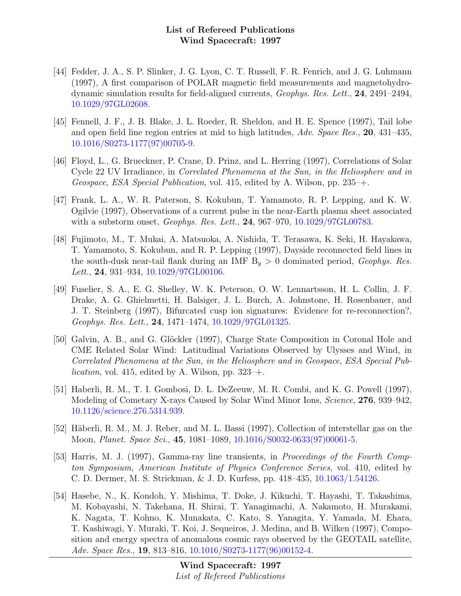- [44] Fedder, J. A., S. P. Slinker, J. G. Lyon, C. T. Russell, F. R. Fenrich, and J. G. Luhmann (1997), A first comparison of POLAR magnetic field measurements and magnetohydrodynamic simulation results for field-aligned currents, Geophys. Res. Lett., 24, 2491–2494, [10.1029/97GL02608.](http://dx.doi.org/10.1029/97GL02608)
- [45] Fennell, J. F., J. B. Blake, J. L. Roeder, R. Sheldon, and H. E. Spence (1997), Tail lobe and open field line region entries at mid to high latitudes, Adv. Space Res., 20, 431–435, [10.1016/S0273-1177\(97\)00705-9.](http://dx.doi.org/10.1016/S0273-1177(97)00705-9)
- [46] Floyd, L., G. Brueckner, P. Crane, D. Prinz, and L. Herring (1997), Correlations of Solar Cycle 22 UV Irradiance, in Correlated Phenomena at the Sun, in the Heliosphere and in Geospace, ESA Special Publication, vol. 415, edited by A. Wilson, pp. 235–+.
- [47] Frank, L. A., W. R. Paterson, S. Kokubun, T. Yamamoto, R. P. Lepping, and K. W. Ogilvie (1997), Observations of a current pulse in the near-Earth plasma sheet associated with a substorm onset, *Geophys. Res. Lett.*, **24**, 967–970, [10.1029/97GL00783.](http://dx.doi.org/10.1029/97GL00783)
- [48] Fujimoto, M., T. Mukai, A. Matsuoka, A. Nishida, T. Terasawa, K. Seki, H. Hayakawa, T. Yamamoto, S. Kokubun, and R. P. Lepping (1997), Dayside reconnected field lines in the south-dusk near-tail flank during an IMF  $B_y > 0$  dominated period, Geophys. Res. Lett., **24**, 931–934, [10.1029/97GL00106.](http://dx.doi.org/10.1029/97GL00106)
- [49] Fuselier, S. A., E. G. Shelley, W. K. Peterson, O. W. Lennartsson, H. L. Collin, J. F. Drake, A. G. Ghielmetti, H. Balsiger, J. L. Burch, A. Johnstone, H. Rosenbauer, and J. T. Steinberg (1997), Bifurcated cusp ion signatures: Evidence for re-reconnection?, Geophys. Res. Lett., 24, 1471–1474, [10.1029/97GL01325.](http://dx.doi.org/10.1029/97GL01325)
- [50] Galvin, A. B., and G. Glöckler (1997), Charge State Composition in Coronal Hole and CME Related Solar Wind: Latitudinal Variations Observed by Ulysses and Wind, in Correlated Phenomena at the Sun, in the Heliosphere and in Geospace, ESA Special Pub*lication*, vol. 415, edited by A. Wilson, pp.  $323$ –+.
- [51] Haberli, R. M., T. I. Gombosi, D. L. DeZeeuw, M. R. Combi, and K. G. Powell (1997), Modeling of Cometary X-rays Caused by Solar Wind Minor Ions, *Science*, **276**, 939–942, [10.1126/science.276.5314.939.](http://dx.doi.org/10.1126/science.276.5314.939)
- [52] Häberli, R. M., M. J. Reber, and M. L. Bassi (1997), Collection of interstellar gas on the Moon, Planet. Space Sci., 45, 1081–1089, [10.1016/S0032-0633\(97\)00061-5.](http://dx.doi.org/10.1016/S0032-0633(97)00061-5)
- [53] Harris, M. J. (1997), Gamma-ray line transients, in Proceedings of the Fourth Compton Symposium, American Institute of Physics Conference Series, vol. 410, edited by C. D. Dermer, M. S. Strickman, & J. D. Kurfess, pp. 418–435, [10.1063/1.54126.](http://dx.doi.org/10.1063/1.54126)
- [54] Hasebe, N., K. Kondoh, Y. Mishima, T. Doke, J. Kikuchi, T. Hayashi, T. Takashima, M. Kobayashi, N. Takehana, H. Shirai, T. Yanagimachi, A. Nakamoto, H. Murakami, K. Nagata, T. Kohno, K. Munakata, C. Kato, S. Yanagita, Y. Yamada, M. Ehara, T. Kashiwagi, Y. Muraki, T. Koi, J. Sequeiros, J. Medina, and B. Wilken (1997), Composition and energy spectra of anomalous cosmic rays observed by the GEOTAIL satellite, Adv. Space Res., **19**, 813–816, [10.1016/S0273-1177\(96\)00152-4.](http://dx.doi.org/10.1016/S0273-1177(96)00152-4)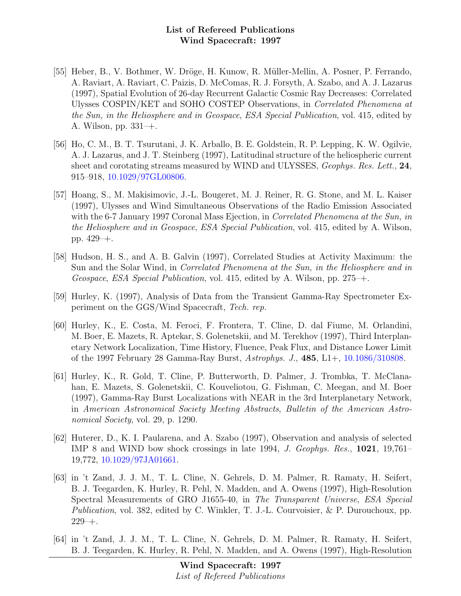- [55] Heber, B., V. Bothmer, W. Dröge, H. Kunow, R. Müller-Mellin, A. Posner, P. Ferrando, A. Raviart, A. Raviart, C. Paizis, D. McComas, R. J. Forsyth, A. Szabo, and A. J. Lazarus (1997), Spatial Evolution of 26-day Recurrent Galactic Cosmic Ray Decreases: Correlated Ulysses COSPIN/KET and SOHO COSTEP Observations, in Correlated Phenomena at the Sun, in the Heliosphere and in Geospace, ESA Special Publication, vol. 415, edited by A. Wilson, pp. 331–+.
- [56] Ho, C. M., B. T. Tsurutani, J. K. Arballo, B. E. Goldstein, R. P. Lepping, K. W. Ogilvie, A. J. Lazarus, and J. T. Steinberg (1997), Latitudinal structure of the heliospheric current sheet and corotating streams measured by WIND and ULYSSES, *Geophys. Res. Lett.*, 24, 915–918, [10.1029/97GL00806.](http://dx.doi.org/10.1029/97GL00806)
- [57] Hoang, S., M. Makisimovic, J.-L. Bougeret, M. J. Reiner, R. G. Stone, and M. L. Kaiser (1997), Ulysses and Wind Simultaneous Observations of the Radio Emission Associated with the 6-7 January 1997 Coronal Mass Ejection, in Correlated Phenomena at the Sun, in the Heliosphere and in Geospace, ESA Special Publication, vol. 415, edited by A. Wilson, pp. 429–+.
- [58] Hudson, H. S., and A. B. Galvin (1997), Correlated Studies at Activity Maximum: the Sun and the Solar Wind, in Correlated Phenomena at the Sun, in the Heliosphere and in Geospace, ESA Special Publication, vol. 415, edited by A. Wilson, pp. 275–+.
- [59] Hurley, K. (1997), Analysis of Data from the Transient Gamma-Ray Spectrometer Experiment on the GGS/Wind Spacecraft, Tech. rep.
- [60] Hurley, K., E. Costa, M. Feroci, F. Frontera, T. Cline, D. dal Fiume, M. Orlandini, M. Boer, E. Mazets, R. Aptekar, S. Golenetskii, and M. Terekhov (1997), Third Interplanetary Network Localization, Time History, Fluence, Peak Flux, and Distance Lower Limit of the 1997 February 28 Gamma-Ray Burst, Astrophys. J., 485, L1+, [10.1086/310808.](http://dx.doi.org/10.1086/310808)
- [61] Hurley, K., R. Gold, T. Cline, P. Butterworth, D. Palmer, J. Trombka, T. McClanahan, E. Mazets, S. Golenetskii, C. Kouveliotou, G. Fishman, C. Meegan, and M. Boer (1997), Gamma-Ray Burst Localizations with NEAR in the 3rd Interplanetary Network, in American Astronomical Society Meeting Abstracts, Bulletin of the American Astronomical Society, vol. 29, p. 1290.
- [62] Huterer, D., K. I. Paularena, and A. Szabo (1997), Observation and analysis of selected IMP 8 and WIND bow shock crossings in late 1994, J. Geophys. Res., 1021, 19,761– 19,772, [10.1029/97JA01661.](http://dx.doi.org/10.1029/97JA01661)
- [63] in 't Zand, J. J. M., T. L. Cline, N. Gehrels, D. M. Palmer, R. Ramaty, H. Seifert, B. J. Teegarden, K. Hurley, R. Pehl, N. Madden, and A. Owens (1997), High-Resolution Spectral Measurements of GRO J1655-40, in The Transparent Universe, ESA Special Publication, vol. 382, edited by C. Winkler, T. J.-L. Courvoisier, & P. Durouchoux, pp. 229–+.
- [64] in 't Zand, J. J. M., T. L. Cline, N. Gehrels, D. M. Palmer, R. Ramaty, H. Seifert, B. J. Teegarden, K. Hurley, R. Pehl, N. Madden, and A. Owens (1997), High-Resolution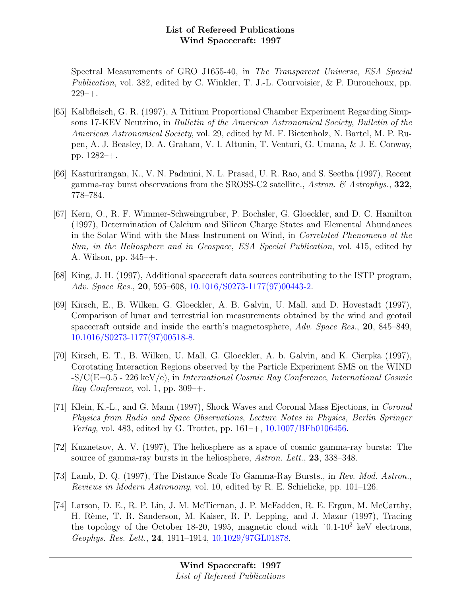Spectral Measurements of GRO J1655-40, in The Transparent Universe, ESA Special Publication, vol. 382, edited by C. Winkler, T. J.-L. Courvoisier, & P. Durouchoux, pp.  $229 - +$ .

- [65] Kalbfleisch, G. R. (1997), A Tritium Proportional Chamber Experiment Regarding Simpsons 17-KEV Neutrino, in Bulletin of the American Astronomical Society, Bulletin of the American Astronomical Society, vol. 29, edited by M. F. Bietenholz, N. Bartel, M. P. Rupen, A. J. Beasley, D. A. Graham, V. I. Altunin, T. Venturi, G. Umana, & J. E. Conway, pp. 1282–+.
- [66] Kasturirangan, K., V. N. Padmini, N. L. Prasad, U. R. Rao, and S. Seetha (1997), Recent gamma-ray burst observations from the SROSS-C2 satellite., Astron.  $\mathcal{B}$  Astrophys., 322, 778–784.
- [67] Kern, O., R. F. Wimmer-Schweingruber, P. Bochsler, G. Gloeckler, and D. C. Hamilton (1997), Determination of Calcium and Silicon Charge States and Elemental Abundances in the Solar Wind with the Mass Instrument on Wind, in Correlated Phenomena at the Sun, in the Heliosphere and in Geospace, ESA Special Publication, vol. 415, edited by A. Wilson, pp. 345–+.
- [68] King, J. H. (1997), Additional spacecraft data sources contributing to the ISTP program, Adv. Space Res., 20, 595–608, [10.1016/S0273-1177\(97\)00443-2.](http://dx.doi.org/10.1016/S0273-1177(97)00443-2)
- [69] Kirsch, E., B. Wilken, G. Gloeckler, A. B. Galvin, U. Mall, and D. Hovestadt (1997), Comparison of lunar and terrestrial ion measurements obtained by the wind and geotail spacecraft outside and inside the earth's magnetosphere, Adv. Space Res., 20, 845–849, [10.1016/S0273-1177\(97\)00518-8.](http://dx.doi.org/10.1016/S0273-1177(97)00518-8)
- [70] Kirsch, E. T., B. Wilken, U. Mall, G. Gloeckler, A. b. Galvin, and K. Cierpka (1997), Corotating Interaction Regions observed by the Particle Experiment SMS on the WIND  $-S/C(E=0.5 - 226 \text{ keV/e})$ , in International Cosmic Ray Conference, International Cosmic Ray Conference, vol. 1, pp.  $309 - +$ .
- [71] Klein, K.-L., and G. Mann (1997), Shock Waves and Coronal Mass Ejections, in Coronal Physics from Radio and Space Observations, Lecture Notes in Physics, Berlin Springer Verlag, vol. 483, edited by G. Trottet, pp. 161–+, [10.1007/BFb0106456.](http://dx.doi.org/10.1007/BFb0106456)
- [72] Kuznetsov, A. V. (1997), The heliosphere as a space of cosmic gamma-ray bursts: The source of gamma-ray bursts in the heliosphere, Astron. Lett., 23, 338–348.
- [73] Lamb, D. Q. (1997), The Distance Scale To Gamma-Ray Bursts., in Rev. Mod. Astron., Reviews in Modern Astronomy, vol. 10, edited by R. E. Schielicke, pp. 101–126.
- [74] Larson, D. E., R. P. Lin, J. M. McTiernan, J. P. McFadden, R. E. Ergun, M. McCarthy, H. Rème, T. R. Sanderson, M. Kaiser, R. P. Lepping, and J. Mazur (1997), Tracing the topology of the October 18-20, 1995, magnetic cloud with ˜0.1-10<sup>2</sup> keV electrons, Geophys. Res. Lett., 24, 1911–1914, [10.1029/97GL01878.](http://dx.doi.org/10.1029/97GL01878)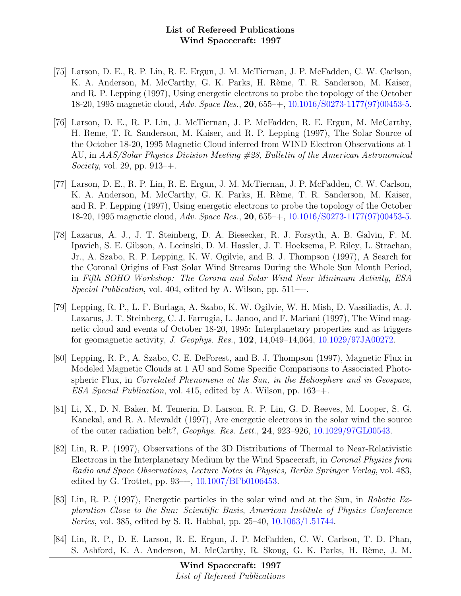- [75] Larson, D. E., R. P. Lin, R. E. Ergun, J. M. McTiernan, J. P. McFadden, C. W. Carlson, K. A. Anderson, M. McCarthy, G. K. Parks, H. Rème, T. R. Sanderson, M. Kaiser, and R. P. Lepping (1997), Using energetic electrons to probe the topology of the October 18-20, 1995 magnetic cloud, Adv. Space Res., 20, 655–+, [10.1016/S0273-1177\(97\)00453-5.](http://dx.doi.org/10.1016/S0273-1177(97)00453-5)
- [76] Larson, D. E., R. P. Lin, J. McTiernan, J. P. McFadden, R. E. Ergun, M. McCarthy, H. Reme, T. R. Sanderson, M. Kaiser, and R. P. Lepping (1997), The Solar Source of the October 18-20, 1995 Magnetic Cloud inferred from WIND Electron Observations at 1 AU, in AAS/Solar Physics Division Meeting #28, Bulletin of the American Astronomical *Society*, vol. 29, pp.  $913-+$ .
- [77] Larson, D. E., R. P. Lin, R. E. Ergun, J. M. McTiernan, J. P. McFadden, C. W. Carlson, K. A. Anderson, M. McCarthy, G. K. Parks, H. Rème, T. R. Sanderson, M. Kaiser, and R. P. Lepping (1997), Using energetic electrons to probe the topology of the October 18-20, 1995 magnetic cloud, *Adv. Space Res.*, **20**, 655-+, [10.1016/S0273-1177\(97\)00453-5.](http://dx.doi.org/10.1016/S0273-1177(97)00453-5)
- [78] Lazarus, A. J., J. T. Steinberg, D. A. Biesecker, R. J. Forsyth, A. B. Galvin, F. M. Ipavich, S. E. Gibson, A. Lecinski, D. M. Hassler, J. T. Hoeksema, P. Riley, L. Strachan, Jr., A. Szabo, R. P. Lepping, K. W. Ogilvie, and B. J. Thompson (1997), A Search for the Coronal Origins of Fast Solar Wind Streams During the Whole Sun Month Period, in Fifth SOHO Workshop: The Corona and Solar Wind Near Minimum Activity, ESA Special Publication, vol. 404, edited by A. Wilson, pp.  $511 - +$ .
- [79] Lepping, R. P., L. F. Burlaga, A. Szabo, K. W. Ogilvie, W. H. Mish, D. Vassiliadis, A. J. Lazarus, J. T. Steinberg, C. J. Farrugia, L. Janoo, and F. Mariani (1997), The Wind magnetic cloud and events of October 18-20, 1995: Interplanetary properties and as triggers for geomagnetic activity, J. Geophys. Res., 102, 14,049–14,064, [10.1029/97JA00272.](http://dx.doi.org/10.1029/97JA00272)
- [80] Lepping, R. P., A. Szabo, C. E. DeForest, and B. J. Thompson (1997), Magnetic Flux in Modeled Magnetic Clouds at 1 AU and Some Specific Comparisons to Associated Photospheric Flux, in Correlated Phenomena at the Sun, in the Heliosphere and in Geospace, ESA Special Publication, vol. 415, edited by A. Wilson, pp. 163–+.
- [81] Li, X., D. N. Baker, M. Temerin, D. Larson, R. P. Lin, G. D. Reeves, M. Looper, S. G. Kanekal, and R. A. Mewaldt (1997), Are energetic electrons in the solar wind the source of the outer radiation belt?, Geophys. Res. Lett., 24, 923–926, [10.1029/97GL00543.](http://dx.doi.org/10.1029/97GL00543)
- [82] Lin, R. P. (1997), Observations of the 3D Distributions of Thermal to Near-Relativistic Electrons in the Interplanetary Medium by the Wind Spacecraft, in Coronal Physics from Radio and Space Observations, Lecture Notes in Physics, Berlin Springer Verlag, vol. 483, edited by G. Trottet, pp.  $93-+$ ,  $10.1007/BFb0106453$ .
- [83] Lin, R. P. (1997), Energetic particles in the solar wind and at the Sun, in Robotic Exploration Close to the Sun: Scientific Basis, American Institute of Physics Conference Series, vol. 385, edited by S. R. Habbal, pp. 25–40, [10.1063/1.51744.](http://dx.doi.org/10.1063/1.51744)
- [84] Lin, R. P., D. E. Larson, R. E. Ergun, J. P. McFadden, C. W. Carlson, T. D. Phan, S. Ashford, K. A. Anderson, M. McCarthy, R. Skoug, G. K. Parks, H. Rème, J. M.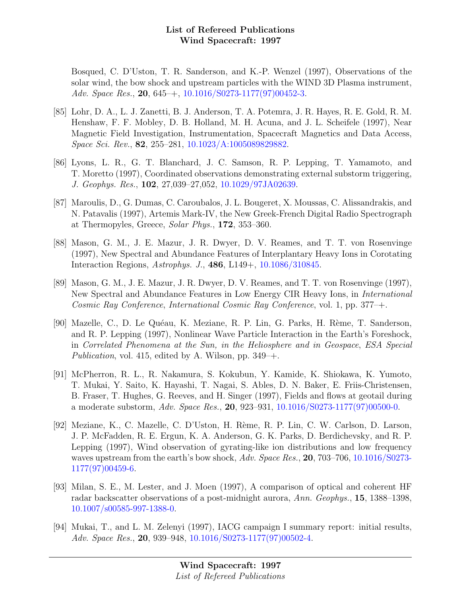Bosqued, C. D'Uston, T. R. Sanderson, and K.-P. Wenzel (1997), Observations of the solar wind, the bow shock and upstream particles with the WIND 3D Plasma instrument, Adv. Space Res., 20, 645–+, [10.1016/S0273-1177\(97\)00452-3.](http://dx.doi.org/10.1016/S0273-1177(97)00452-3)

- [85] Lohr, D. A., L. J. Zanetti, B. J. Anderson, T. A. Potemra, J. R. Hayes, R. E. Gold, R. M. Henshaw, F. F. Mobley, D. B. Holland, M. H. Acuna, and J. L. Scheifele (1997), Near Magnetic Field Investigation, Instrumentation, Spacecraft Magnetics and Data Access, Space Sci. Rev., 82, 255–281, [10.1023/A:1005089829882.](http://dx.doi.org/10.1023/A:1005089829882)
- [86] Lyons, L. R., G. T. Blanchard, J. C. Samson, R. P. Lepping, T. Yamamoto, and T. Moretto (1997), Coordinated observations demonstrating external substorm triggering, J. Geophys. Res., 102, 27,039–27,052, [10.1029/97JA02639.](http://dx.doi.org/10.1029/97JA02639)
- [87] Maroulis, D., G. Dumas, C. Caroubalos, J. L. Bougeret, X. Moussas, C. Alissandrakis, and N. Patavalis (1997), Artemis Mark-IV, the New Greek-French Digital Radio Spectrograph at Thermopyles, Greece, Solar Phys., 172, 353–360.
- [88] Mason, G. M., J. E. Mazur, J. R. Dwyer, D. V. Reames, and T. T. von Rosenvinge (1997), New Spectral and Abundance Features of Interplantary Heavy Ions in Corotating Interaction Regions, Astrophys. J., 486, L149+, [10.1086/310845.](http://dx.doi.org/10.1086/310845)
- [89] Mason, G. M., J. E. Mazur, J. R. Dwyer, D. V. Reames, and T. T. von Rosenvinge (1997), New Spectral and Abundance Features in Low Energy CIR Heavy Ions, in International Cosmic Ray Conference, International Cosmic Ray Conference, vol. 1, pp. 377–+.
- [90] Mazelle, C., D. Le Quéau, K. Meziane, R. P. Lin, G. Parks, H. Rème, T. Sanderson, and R. P. Lepping (1997), Nonlinear Wave Particle Interaction in the Earth's Foreshock, in Correlated Phenomena at the Sun, in the Heliosphere and in Geospace, ESA Special Publication, vol. 415, edited by A. Wilson, pp. 349–+.
- [91] McPherron, R. L., R. Nakamura, S. Kokubun, Y. Kamide, K. Shiokawa, K. Yumoto, T. Mukai, Y. Saito, K. Hayashi, T. Nagai, S. Ables, D. N. Baker, E. Friis-Christensen, B. Fraser, T. Hughes, G. Reeves, and H. Singer (1997), Fields and flows at geotail during a moderate substorm, Adv. Space Res., 20, 923–931, [10.1016/S0273-1177\(97\)00500-0.](http://dx.doi.org/10.1016/S0273-1177(97)00500-0)
- [92] Meziane, K., C. Mazelle, C. D'Uston, H. Rème, R. P. Lin, C. W. Carlson, D. Larson, J. P. McFadden, R. E. Ergun, K. A. Anderson, G. K. Parks, D. Berdichevsky, and R. P. Lepping (1997), Wind observation of gyrating-like ion distributions and low frequency waves upstream from the earth's bow shock, Adv. Space Res., 20, 703–706, [10.1016/S0273-](http://dx.doi.org/10.1016/S0273-1177(97)00459-6) [1177\(97\)00459-6.](http://dx.doi.org/10.1016/S0273-1177(97)00459-6)
- [93] Milan, S. E., M. Lester, and J. Moen (1997), A comparison of optical and coherent HF radar backscatter observations of a post-midnight aurora, Ann. Geophys., 15, 1388–1398, [10.1007/s00585-997-1388-0.](http://dx.doi.org/10.1007/s00585-997-1388-0)
- [94] Mukai, T., and L. M. Zelenyi (1997), IACG campaign I summary report: initial results, Adv. Space Res., 20, 939–948, [10.1016/S0273-1177\(97\)00502-4.](http://dx.doi.org/10.1016/S0273-1177(97)00502-4)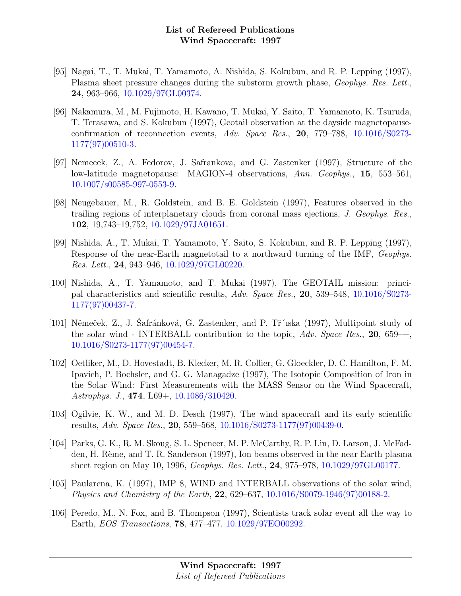- [95] Nagai, T., T. Mukai, T. Yamamoto, A. Nishida, S. Kokubun, and R. P. Lepping (1997), Plasma sheet pressure changes during the substorm growth phase, Geophys. Res. Lett., 24, 963–966, [10.1029/97GL00374.](http://dx.doi.org/10.1029/97GL00374)
- [96] Nakamura, M., M. Fujimoto, H. Kawano, T. Mukai, Y. Saito, T. Yamamoto, K. Tsuruda, T. Terasawa, and S. Kokubun (1997), Geotail observation at the dayside magnetopauseconfirmation of reconnection events, Adv. Space Res., 20, 779–788, [10.1016/S0273-](http://dx.doi.org/10.1016/S0273-1177(97)00510-3) [1177\(97\)00510-3.](http://dx.doi.org/10.1016/S0273-1177(97)00510-3)
- [97] Nemecek, Z., A. Fedorov, J. Safrankova, and G. Zastenker (1997), Structure of the low-latitude magnetopause: MAGION-4 observations, Ann. Geophys., 15, 553–561, [10.1007/s00585-997-0553-9.](http://dx.doi.org/10.1007/s00585-997-0553-9)
- [98] Neugebauer, M., R. Goldstein, and B. E. Goldstein (1997), Features observed in the trailing regions of interplanetary clouds from coronal mass ejections, J. Geophys. Res., 102, 19,743–19,752, [10.1029/97JA01651.](http://dx.doi.org/10.1029/97JA01651)
- [99] Nishida, A., T. Mukai, T. Yamamoto, Y. Saito, S. Kokubun, and R. P. Lepping (1997), Response of the near-Earth magnetotail to a northward turning of the IMF, Geophys. Res. Lett., 24, 943–946, [10.1029/97GL00220.](http://dx.doi.org/10.1029/97GL00220)
- [100] Nishida, A., T. Yamamoto, and T. Mukai (1997), The GEOTAIL mission: principal characteristics and scientific results, Adv. Space Res., 20, 539–548, [10.1016/S0273-](http://dx.doi.org/10.1016/S0273-1177(97)00437-7) [1177\(97\)00437-7.](http://dx.doi.org/10.1016/S0273-1177(97)00437-7)
- [101] Němeček, Z., J. Safránková, G. Zastenker, and P. Tř´<sub>1ska</sub> (1997), Multipoint study of the solar wind - INTERBALL contribution to the topic,  $Adv. Space Res., 20, 659+,$ [10.1016/S0273-1177\(97\)00454-7.](http://dx.doi.org/10.1016/S0273-1177(97)00454-7)
- [102] Oetliker, M., D. Hovestadt, B. Klecker, M. R. Collier, G. Gloeckler, D. C. Hamilton, F. M. Ipavich, P. Bochsler, and G. G. Managadze (1997), The Isotopic Composition of Iron in the Solar Wind: First Measurements with the MASS Sensor on the Wind Spacecraft, Astrophys. J., 474, L69+, [10.1086/310420.](http://dx.doi.org/10.1086/310420)
- [103] Ogilvie, K. W., and M. D. Desch (1997), The wind spacecraft and its early scientific results, Adv. Space Res., 20, 559–568, [10.1016/S0273-1177\(97\)00439-0.](http://dx.doi.org/10.1016/S0273-1177(97)00439-0)
- [104] Parks, G. K., R. M. Skoug, S. L. Spencer, M. P. McCarthy, R. P. Lin, D. Larson, J. McFadden, H. Rème, and T. R. Sanderson (1997), Ion beams observed in the near Earth plasma sheet region on May 10, 1996, Geophys. Res. Lett., 24, 975–978, [10.1029/97GL00177.](http://dx.doi.org/10.1029/97GL00177)
- [105] Paularena, K. (1997), IMP 8, WIND and INTERBALL observations of the solar wind, Physics and Chemistry of the Earth, 22, 629–637, [10.1016/S0079-1946\(97\)00188-2.](http://dx.doi.org/10.1016/S0079-1946(97)00188-2)
- [106] Peredo, M., N. Fox, and B. Thompson (1997), Scientists track solar event all the way to Earth, EOS Transactions, 78, 477–477, [10.1029/97EO00292.](http://dx.doi.org/10.1029/97EO00292)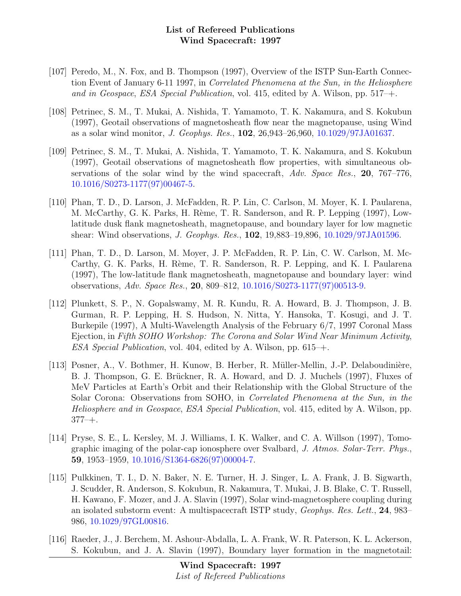- [107] Peredo, M., N. Fox, and B. Thompson (1997), Overview of the ISTP Sun-Earth Connection Event of January 6-11 1997, in Correlated Phenomena at the Sun, in the Heliosphere and in Geospace, ESA Special Publication, vol. 415, edited by A. Wilson, pp. 517–+.
- [108] Petrinec, S. M., T. Mukai, A. Nishida, T. Yamamoto, T. K. Nakamura, and S. Kokubun (1997), Geotail observations of magnetosheath flow near the magnetopause, using Wind as a solar wind monitor, J. Geophys. Res., 102, 26,943–26,960, [10.1029/97JA01637.](http://dx.doi.org/10.1029/97JA01637)
- [109] Petrinec, S. M., T. Mukai, A. Nishida, T. Yamamoto, T. K. Nakamura, and S. Kokubun (1997), Geotail observations of magnetosheath flow properties, with simultaneous observations of the solar wind by the wind spacecraft, Adv. Space Res., 20, 767–776, [10.1016/S0273-1177\(97\)00467-5.](http://dx.doi.org/10.1016/S0273-1177(97)00467-5)
- [110] Phan, T. D., D. Larson, J. McFadden, R. P. Lin, C. Carlson, M. Moyer, K. I. Paularena, M. McCarthy, G. K. Parks, H. Rème, T. R. Sanderson, and R. P. Lepping (1997), Lowlatitude dusk flank magnetosheath, magnetopause, and boundary layer for low magnetic shear: Wind observations, J. Geophys. Res., 102, 19,883–19,896, [10.1029/97JA01596.](http://dx.doi.org/10.1029/97JA01596)
- [111] Phan, T. D., D. Larson, M. Moyer, J. P. McFadden, R. P. Lin, C. W. Carlson, M. Mc-Carthy, G. K. Parks, H. Rème, T. R. Sanderson, R. P. Lepping, and K. I. Paularena (1997), The low-latitude flank magnetosheath, magnetopause and boundary layer: wind observations, Adv. Space Res., 20, 809–812, [10.1016/S0273-1177\(97\)00513-9.](http://dx.doi.org/10.1016/S0273-1177(97)00513-9)
- [112] Plunkett, S. P., N. Gopalswamy, M. R. Kundu, R. A. Howard, B. J. Thompson, J. B. Gurman, R. P. Lepping, H. S. Hudson, N. Nitta, Y. Hansoka, T. Kosugi, and J. T. Burkepile (1997), A Multi-Wavelength Analysis of the February 6/7, 1997 Coronal Mass Ejection, in Fifth SOHO Workshop: The Corona and Solar Wind Near Minimum Activity, ESA Special Publication, vol. 404, edited by A. Wilson, pp. 615–+.
- [113] Posner, A., V. Bothmer, H. Kunow, B. Herber, R. Müller-Mellin, J.-P. Delaboudinière, B. J. Thompson, G. E. Brückner, R. A. Howard, and D. J. Muchels (1997), Fluxes of MeV Particles at Earth's Orbit and their Relationship with the Global Structure of the Solar Corona: Observations from SOHO, in Correlated Phenomena at the Sun, in the Heliosphere and in Geospace, ESA Special Publication, vol. 415, edited by A. Wilson, pp.  $377 - +$ .
- [114] Pryse, S. E., L. Kersley, M. J. Williams, I. K. Walker, and C. A. Willson (1997), Tomographic imaging of the polar-cap ionosphere over Svalbard, J. Atmos. Solar-Terr. Phys., 59, 1953–1959, [10.1016/S1364-6826\(97\)00004-7.](http://dx.doi.org/10.1016/S1364-6826(97)00004-7)
- [115] Pulkkinen, T. I., D. N. Baker, N. E. Turner, H. J. Singer, L. A. Frank, J. B. Sigwarth, J. Scudder, R. Anderson, S. Kokubun, R. Nakamura, T. Mukai, J. B. Blake, C. T. Russell, H. Kawano, F. Mozer, and J. A. Slavin (1997), Solar wind-magnetosphere coupling during an isolated substorm event: A multispacecraft ISTP study, Geophys. Res. Lett., 24, 983– 986, [10.1029/97GL00816.](http://dx.doi.org/10.1029/97GL00816)
- [116] Raeder, J., J. Berchem, M. Ashour-Abdalla, L. A. Frank, W. R. Paterson, K. L. Ackerson, S. Kokubun, and J. A. Slavin (1997), Boundary layer formation in the magnetotail: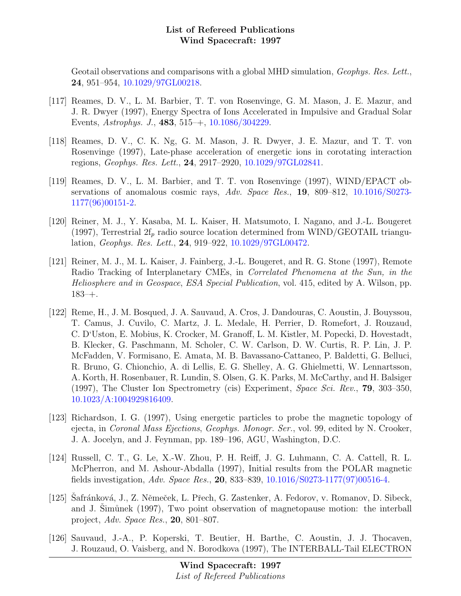Geotail observations and comparisons with a global MHD simulation, *Geophys. Res. Lett.*, 24, 951–954, [10.1029/97GL00218.](http://dx.doi.org/10.1029/97GL00218)

- [117] Reames, D. V., L. M. Barbier, T. T. von Rosenvinge, G. M. Mason, J. E. Mazur, and J. R. Dwyer (1997), Energy Spectra of Ions Accelerated in Impulsive and Gradual Solar Events, Astrophys. J., 483, 515–+, [10.1086/304229.](http://dx.doi.org/10.1086/304229)
- [118] Reames, D. V., C. K. Ng, G. M. Mason, J. R. Dwyer, J. E. Mazur, and T. T. von Rosenvinge (1997), Late-phase acceleration of energetic ions in corotating interaction regions, Geophys. Res. Lett., 24, 2917–2920, [10.1029/97GL02841.](http://dx.doi.org/10.1029/97GL02841)
- [119] Reames, D. V., L. M. Barbier, and T. T. von Rosenvinge (1997), WIND/EPACT observations of anomalous cosmic rays,  $Adv. Space Res., 19, 809-812, 10.1016/S0273 Adv. Space Res., 19, 809-812, 10.1016/S0273-$ [1177\(96\)00151-2.](http://dx.doi.org/10.1016/S0273-1177(96)00151-2)
- [120] Reiner, M. J., Y. Kasaba, M. L. Kaiser, H. Matsumoto, I. Nagano, and J.-L. Bougeret (1997), Terrestrial  $2f_p$  radio source location determined from WIND/GEOTAIL triangulation, Geophys. Res. Lett., 24, 919–922, [10.1029/97GL00472.](http://dx.doi.org/10.1029/97GL00472)
- [121] Reiner, M. J., M. L. Kaiser, J. Fainberg, J.-L. Bougeret, and R. G. Stone (1997), Remote Radio Tracking of Interplanetary CMEs, in Correlated Phenomena at the Sun, in the Heliosphere and in Geospace, ESA Special Publication, vol. 415, edited by A. Wilson, pp. 183–+.
- [122] Reme, H., J. M. Bosqued, J. A. Sauvaud, A. Cros, J. Dandouras, C. Aoustin, J. Bouyssou, T. Camus, J. Cuvilo, C. Martz, J. L. Medale, H. Perrier, D. Romefort, J. Rouzaud, C. D'Uston, E. Mobius, K. Crocker, M. Granoff, L. M. Kistler, M. Popecki, D. Hovestadt, B. Klecker, G. Paschmann, M. Scholer, C. W. Carlson, D. W. Curtis, R. P. Lin, J. P. McFadden, V. Formisano, E. Amata, M. B. Bavassano-Cattaneo, P. Baldetti, G. Belluci, R. Bruno, G. Chionchio, A. di Lellis, E. G. Shelley, A. G. Ghielmetti, W. Lennartsson, A. Korth, H. Rosenbauer, R. Lundin, S. Olsen, G. K. Parks, M. McCarthy, and H. Balsiger (1997), The Cluster Ion Spectrometry (cis) Experiment, Space Sci. Rev., 79, 303–350, [10.1023/A:1004929816409.](http://dx.doi.org/10.1023/A:1004929816409)
- [123] Richardson, I. G. (1997), Using energetic particles to probe the magnetic topology of ejecta, in Coronal Mass Ejections, Geophys. Monogr. Ser., vol. 99, edited by N. Crooker, J. A. Jocelyn, and J. Feynman, pp. 189–196, AGU, Washington, D.C.
- [124] Russell, C. T., G. Le, X.-W. Zhou, P. H. Reiff, J. G. Luhmann, C. A. Cattell, R. L. McPherron, and M. Ashour-Abdalla (1997), Initial results from the POLAR magnetic fields investigation, Adv. Space Res., 20, 833–839, [10.1016/S0273-1177\(97\)00516-4.](http://dx.doi.org/10.1016/S0273-1177(97)00516-4)
- [125] Safránková, J., Z. Němeček, L. Přech, G. Zastenker, A. Fedorov, v. Romanov, D. Sibeck, and J. Simůnek  $(1997)$ , Two point observation of magnetopause motion: the interball project, Adv. Space Res., 20, 801–807.
- [126] Sauvaud, J.-A., P. Koperski, T. Beutier, H. Barthe, C. Aoustin, J. J. Thocaven, J. Rouzaud, O. Vaisberg, and N. Borodkova (1997), The INTERBALL-Tail ELECTRON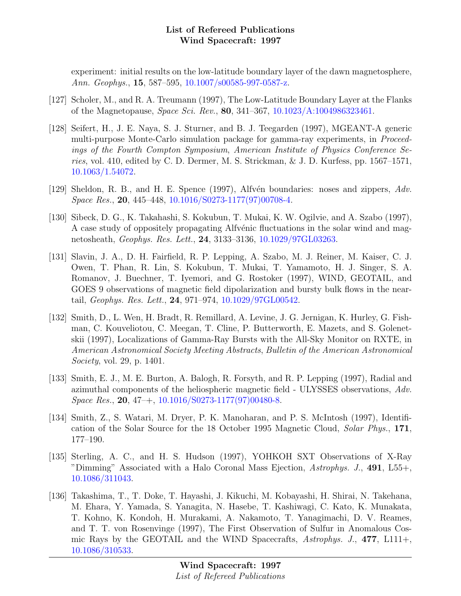experiment: initial results on the low-latitude boundary layer of the dawn magnetosphere, Ann. Geophys., 15, 587–595, [10.1007/s00585-997-0587-z.](http://dx.doi.org/10.1007/s00585-997-0587-z)

- [127] Scholer, M., and R. A. Treumann (1997), The Low-Latitude Boundary Layer at the Flanks of the Magnetopause, Space Sci. Rev., 80, 341–367, [10.1023/A:1004986323461.](http://dx.doi.org/10.1023/A:1004986323461)
- [128] Seifert, H., J. E. Naya, S. J. Sturner, and B. J. Teegarden (1997), MGEANT-A generic multi-purpose Monte-Carlo simulation package for gamma-ray experiments, in Proceedings of the Fourth Compton Symposium, American Institute of Physics Conference Series, vol. 410, edited by C. D. Dermer, M. S. Strickman, & J. D. Kurfess, pp. 1567–1571, [10.1063/1.54072.](http://dx.doi.org/10.1063/1.54072)
- [129] Sheldon, R. B., and H. E. Spence (1997), Alfvén boundaries: noses and zippers, Adv. Space Res., 20, 445–448, [10.1016/S0273-1177\(97\)00708-4.](http://dx.doi.org/10.1016/S0273-1177(97)00708-4)
- [130] Sibeck, D. G., K. Takahashi, S. Kokubun, T. Mukai, K. W. Ogilvie, and A. Szabo (1997), A case study of oppositely propagating Alfvénic fluctuations in the solar wind and magnetosheath, Geophys. Res. Lett., 24, 3133–3136, [10.1029/97GL03263.](http://dx.doi.org/10.1029/97GL03263)
- [131] Slavin, J. A., D. H. Fairfield, R. P. Lepping, A. Szabo, M. J. Reiner, M. Kaiser, C. J. Owen, T. Phan, R. Lin, S. Kokubun, T. Mukai, T. Yamamoto, H. J. Singer, S. A. Romanov, J. Buechner, T. Iyemori, and G. Rostoker (1997), WIND, GEOTAIL, and GOES 9 observations of magnetic field dipolarization and bursty bulk flows in the neartail, Geophys. Res. Lett., 24, 971–974, [10.1029/97GL00542.](http://dx.doi.org/10.1029/97GL00542)
- [132] Smith, D., L. Wen, H. Bradt, R. Remillard, A. Levine, J. G. Jernigan, K. Hurley, G. Fishman, C. Kouveliotou, C. Meegan, T. Cline, P. Butterworth, E. Mazets, and S. Golenetskii (1997), Localizations of Gamma-Ray Bursts with the All-Sky Monitor on RXTE, in American Astronomical Society Meeting Abstracts, Bulletin of the American Astronomical Society, vol. 29, p. 1401.
- [133] Smith, E. J., M. E. Burton, A. Balogh, R. Forsyth, and R. P. Lepping (1997), Radial and azimuthal components of the heliospheric magnetic field - ULYSSES observations, Adv.  $Space Res., 20, 47-, 10.1016/S0273-1177(97)00480-8.$  $Space Res., 20, 47-, 10.1016/S0273-1177(97)00480-8.$
- [134] Smith, Z., S. Watari, M. Dryer, P. K. Manoharan, and P. S. McIntosh (1997), Identification of the Solar Source for the 18 October 1995 Magnetic Cloud, Solar Phys., 171, 177–190.
- [135] Sterling, A. C., and H. S. Hudson (1997), YOHKOH SXT Observations of X-Ray "Dimming" Associated with a Halo Coronal Mass Ejection, Astrophys. J., 491, L55+, [10.1086/311043.](http://dx.doi.org/10.1086/311043)
- [136] Takashima, T., T. Doke, T. Hayashi, J. Kikuchi, M. Kobayashi, H. Shirai, N. Takehana, M. Ehara, Y. Yamada, S. Yanagita, N. Hasebe, T. Kashiwagi, C. Kato, K. Munakata, T. Kohno, K. Kondoh, H. Murakami, A. Nakamoto, T. Yanagimachi, D. V. Reames, and T. T. von Rosenvinge (1997), The First Observation of Sulfur in Anomalous Cosmic Rays by the GEOTAIL and the WIND Spacecrafts,  $Astrophys. J., 477, L111+,$ [10.1086/310533.](http://dx.doi.org/10.1086/310533)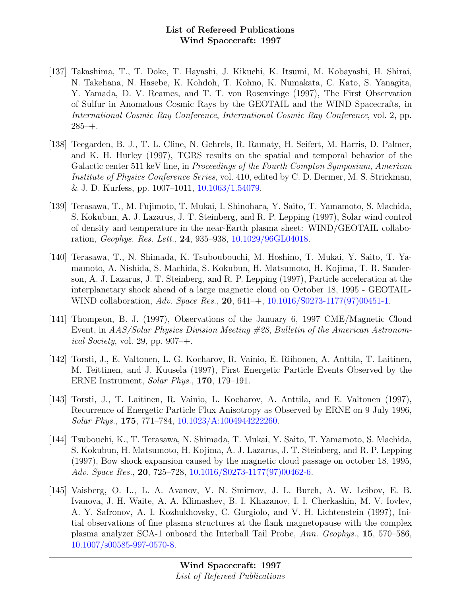- [137] Takashima, T., T. Doke, T. Hayashi, J. Kikuchi, K. Itsumi, M. Kobayashi, H. Shirai, N. Takehana, N. Hasebe, K. Kohdoh, T. Kohno, K. Numakata, C. Kato, S. Yanagita, Y. Yamada, D. V. Reames, and T. T. von Rosenvinge (1997), The First Observation of Sulfur in Anomalous Cosmic Rays by the GEOTAIL and the WIND Spacecrafts, in International Cosmic Ray Conference, International Cosmic Ray Conference, vol. 2, pp.  $285 - +$ .
- [138] Teegarden, B. J., T. L. Cline, N. Gehrels, R. Ramaty, H. Seifert, M. Harris, D. Palmer, and K. H. Hurley (1997), TGRS results on the spatial and temporal behavior of the Galactic center 511 keV line, in *Proceedings of the Fourth Compton Symposium*, *American* Institute of Physics Conference Series, vol. 410, edited by C. D. Dermer, M. S. Strickman, & J. D. Kurfess, pp. 1007–1011, [10.1063/1.54079.](http://dx.doi.org/10.1063/1.54079)
- [139] Terasawa, T., M. Fujimoto, T. Mukai, I. Shinohara, Y. Saito, T. Yamamoto, S. Machida, S. Kokubun, A. J. Lazarus, J. T. Steinberg, and R. P. Lepping (1997), Solar wind control of density and temperature in the near-Earth plasma sheet: WIND/GEOTAIL collaboration, Geophys. Res. Lett., 24, 935–938, [10.1029/96GL04018.](http://dx.doi.org/10.1029/96GL04018)
- [140] Terasawa, T., N. Shimada, K. Tsuboubouchi, M. Hoshino, T. Mukai, Y. Saito, T. Yamamoto, A. Nishida, S. Machida, S. Kokubun, H. Matsumoto, H. Kojima, T. R. Sanderson, A. J. Lazarus, J. T. Steinberg, and R. P. Lepping (1997), Particle acceleration at the interplanetary shock ahead of a large magnetic cloud on October 18, 1995 - GEOTAIL-WIND collaboration, Adv. Space Res., 20, 641–+, [10.1016/S0273-1177\(97\)00451-1.](http://dx.doi.org/10.1016/S0273-1177(97)00451-1)
- [141] Thompson, B. J. (1997), Observations of the January 6, 1997 CME/Magnetic Cloud Event, in AAS/Solar Physics Division Meeting #28, Bulletin of the American Astronomical Society, vol. 29, pp.  $907 - +$ .
- [142] Torsti, J., E. Valtonen, L. G. Kocharov, R. Vainio, E. Riihonen, A. Anttila, T. Laitinen, M. Teittinen, and J. Kuusela (1997), First Energetic Particle Events Observed by the ERNE Instrument, Solar Phys., 170, 179–191.
- [143] Torsti, J., T. Laitinen, R. Vainio, L. Kocharov, A. Anttila, and E. Valtonen (1997), Recurrence of Energetic Particle Flux Anisotropy as Observed by ERNE on 9 July 1996, Solar Phys., 175, 771–784, [10.1023/A:1004944222260.](http://dx.doi.org/10.1023/A:1004944222260)
- [144] Tsubouchi, K., T. Terasawa, N. Shimada, T. Mukai, Y. Saito, T. Yamamoto, S. Machida, S. Kokubun, H. Matsumoto, H. Kojima, A. J. Lazarus, J. T. Steinberg, and R. P. Lepping (1997), Bow shock expansion caused by the magnetic cloud passage on october 18, 1995, Adv. Space Res., 20, 725–728, [10.1016/S0273-1177\(97\)00462-6.](http://dx.doi.org/10.1016/S0273-1177(97)00462-6)
- [145] Vaisberg, O. L., L. A. Avanov, V. N. Smirnov, J. L. Burch, A. W. Leibov, E. B. Ivanova, J. H. Waite, A. A. Klimashev, B. I. Khazanov, I. I. Cherkashin, M. V. Iovlev, A. Y. Safronov, A. I. Kozhukhovsky, C. Gurgiolo, and V. H. Lichtenstein (1997), Initial observations of fine plasma structures at the flank magnetopause with the complex plasma analyzer SCA-1 onboard the Interball Tail Probe, Ann. Geophys., 15, 570–586, [10.1007/s00585-997-0570-8.](http://dx.doi.org/10.1007/s00585-997-0570-8)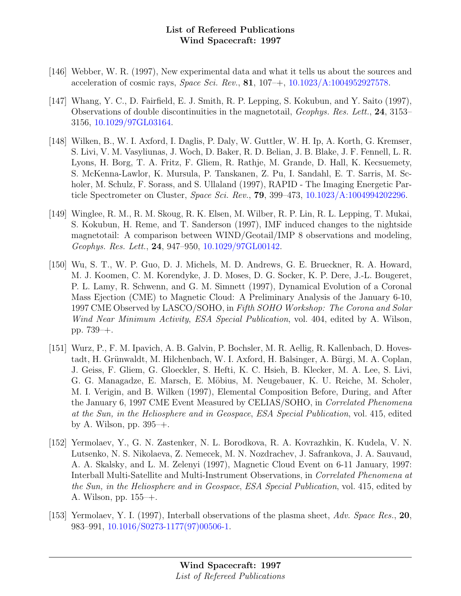- [146] Webber, W. R. (1997), New experimental data and what it tells us about the sources and acceleration of cosmic rays, *Space Sci. Rev.*, **81**,  $107 + 10.1023/A:1004952927578$ .
- [147] Whang, Y. C., D. Fairfield, E. J. Smith, R. P. Lepping, S. Kokubun, and Y. Saito (1997), Observations of double discontinuities in the magnetotail, Geophys. Res. Lett., 24, 3153– 3156, [10.1029/97GL03164.](http://dx.doi.org/10.1029/97GL03164)
- [148] Wilken, B., W. I. Axford, I. Daglis, P. Daly, W. Guttler, W. H. Ip, A. Korth, G. Kremser, S. Livi, V. M. Vasyliunas, J. Woch, D. Baker, R. D. Belian, J. B. Blake, J. F. Fennell, L. R. Lyons, H. Borg, T. A. Fritz, F. Gliem, R. Rathje, M. Grande, D. Hall, K. Kecsuemety, S. McKenna-Lawlor, K. Mursula, P. Tanskanen, Z. Pu, I. Sandahl, E. T. Sarris, M. Scholer, M. Schulz, F. Sorass, and S. Ullaland (1997), RAPID - The Imaging Energetic Particle Spectrometer on Cluster, Space Sci. Rev., 79, 399–473, [10.1023/A:1004994202296.](http://dx.doi.org/10.1023/A:1004994202296)
- [149] Winglee, R. M., R. M. Skoug, R. K. Elsen, M. Wilber, R. P. Lin, R. L. Lepping, T. Mukai, S. Kokubun, H. Reme, and T. Sanderson (1997), IMF induced changes to the nightside magnetotail: A comparison between WIND/Geotail/IMP 8 observations and modeling, Geophys. Res. Lett., 24, 947–950, [10.1029/97GL00142.](http://dx.doi.org/10.1029/97GL00142)
- [150] Wu, S. T., W. P. Guo, D. J. Michels, M. D. Andrews, G. E. Brueckner, R. A. Howard, M. J. Koomen, C. M. Korendyke, J. D. Moses, D. G. Socker, K. P. Dere, J.-L. Bougeret, P. L. Lamy, R. Schwenn, and G. M. Simnett (1997), Dynamical Evolution of a Coronal Mass Ejection (CME) to Magnetic Cloud: A Preliminary Analysis of the January 6-10, 1997 CME Observed by LASCO/SOHO, in Fifth SOHO Workshop: The Corona and Solar Wind Near Minimum Activity, ESA Special Publication, vol. 404, edited by A. Wilson, pp. 739–+.
- [151] Wurz, P., F. M. Ipavich, A. B. Galvin, P. Bochsler, M. R. Aellig, R. Kallenbach, D. Hovestadt, H. Grünwaldt, M. Hilchenbach, W. I. Axford, H. Balsinger, A. Bürgi, M. A. Coplan, J. Geiss, F. Gliem, G. Gloeckler, S. Hefti, K. C. Hsieh, B. Klecker, M. A. Lee, S. Livi, G. G. Managadze, E. Marsch, E. Möbius, M. Neugebauer, K. U. Reiche, M. Scholer, M. I. Verigin, and B. Wilken (1997), Elemental Composition Before, During, and After the January 6, 1997 CME Event Measured by CELIAS/SOHO, in Correlated Phenomena at the Sun, in the Heliosphere and in Geospace, ESA Special Publication, vol. 415, edited by A. Wilson, pp. 395–+.
- [152] Yermolaev, Y., G. N. Zastenker, N. L. Borodkova, R. A. Kovrazhkin, K. Kudela, V. N. Lutsenko, N. S. Nikolaeva, Z. Nemecek, M. N. Nozdrachev, J. Safrankova, J. A. Sauvaud, A. A. Skalsky, and L. M. Zelenyi (1997), Magnetic Cloud Event on 6-11 January, 1997: Interball Multi-Satellite and Multi-Instrument Observations, in Correlated Phenomena at the Sun, in the Heliosphere and in Geospace, ESA Special Publication, vol. 415, edited by A. Wilson, pp. 155–+.
- [153] Yermolaev, Y. I. (1997), Interball observations of the plasma sheet, Adv. Space Res., 20, 983–991, [10.1016/S0273-1177\(97\)00506-1.](http://dx.doi.org/10.1016/S0273-1177(97)00506-1)